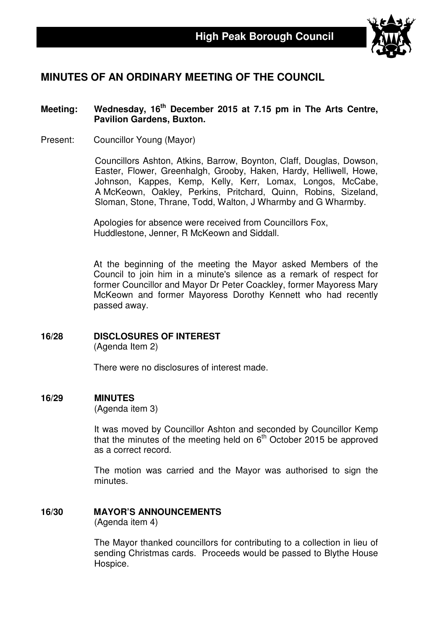

# **MINUTES OF AN ORDINARY MEETING OF THE COUNCIL**

### **Meeting: Wednesday, 16th December 2015 at 7.15 pm in The Arts Centre, Pavilion Gardens, Buxton.**

Present: Councillor Young (Mayor)

Councillors Ashton, Atkins, Barrow, Boynton, Claff, Douglas, Dowson, Easter, Flower, Greenhalgh, Grooby, Haken, Hardy, Helliwell, Howe, Johnson, Kappes, Kemp, Kelly, Kerr, Lomax, Longos, McCabe, A McKeown, Oakley, Perkins, Pritchard, Quinn, Robins, Sizeland, Sloman, Stone, Thrane, Todd, Walton, J Wharmby and G Wharmby.

Apologies for absence were received from Councillors Fox, Huddlestone, Jenner, R McKeown and Siddall.

At the beginning of the meeting the Mayor asked Members of the Council to join him in a minute's silence as a remark of respect for former Councillor and Mayor Dr Peter Coackley, former Mayoress Mary McKeown and former Mayoress Dorothy Kennett who had recently passed away.

### **16/28 DISCLOSURES OF INTEREST**

(Agenda Item 2)

There were no disclosures of interest made.

#### **16/29 MINUTES**

(Agenda item 3)

It was moved by Councillor Ashton and seconded by Councillor Kemp that the minutes of the meeting held on  $6<sup>th</sup>$  October 2015 be approved as a correct record.

The motion was carried and the Mayor was authorised to sign the minutes.

# **16/30 MAYOR'S ANNOUNCEMENTS**

(Agenda item 4)

The Mayor thanked councillors for contributing to a collection in lieu of sending Christmas cards. Proceeds would be passed to Blythe House Hospice.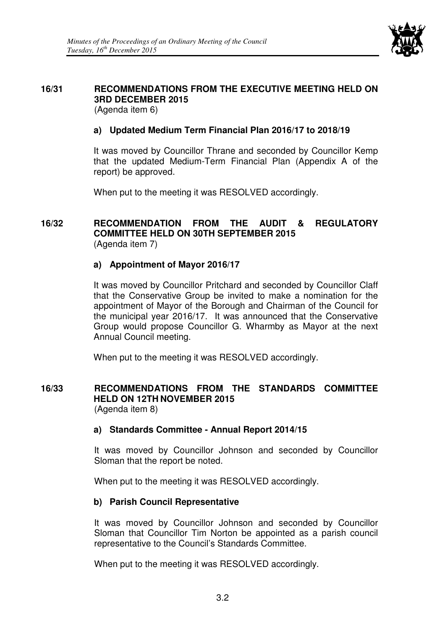

# **16/31 RECOMMENDATIONS FROM THE EXECUTIVE MEETING HELD ON 3RD DECEMBER 2015**

(Agenda item 6)

# **a) Updated Medium Term Financial Plan 2016/17 to 2018/19**

It was moved by Councillor Thrane and seconded by Councillor Kemp that the updated Medium-Term Financial Plan (Appendix A of the report) be approved.

When put to the meeting it was RESOLVED accordingly.

### **16/32 RECOMMENDATION FROM THE AUDIT & REGULATORY COMMITTEE HELD ON 30TH SEPTEMBER 2015**  (Agenda item 7)

## **a) Appointment of Mayor 2016/17**

It was moved by Councillor Pritchard and seconded by Councillor Claff that the Conservative Group be invited to make a nomination for the appointment of Mayor of the Borough and Chairman of the Council for the municipal year 2016/17. It was announced that the Conservative Group would propose Councillor G. Wharmby as Mayor at the next Annual Council meeting.

When put to the meeting it was RESOLVED accordingly.

#### **16/33 RECOMMENDATIONS FROM THE STANDARDS COMMITTEE HELD ON 12TH NOVEMBER 2015**  (Agenda item 8)

### **a) Standards Committee - Annual Report 2014/15**

It was moved by Councillor Johnson and seconded by Councillor Sloman that the report be noted.

When put to the meeting it was RESOLVED accordingly.

# **b) Parish Council Representative**

It was moved by Councillor Johnson and seconded by Councillor Sloman that Councillor Tim Norton be appointed as a parish council representative to the Council's Standards Committee.

When put to the meeting it was RESOLVED accordingly.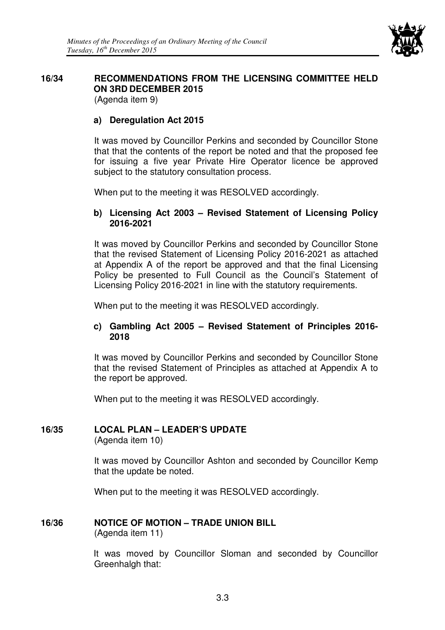

#### **16/34 RECOMMENDATIONS FROM THE LICENSING COMMITTEE HELD ON 3RD DECEMBER 2015**  (Agenda item 9)

**a) Deregulation Act 2015** 

It was moved by Councillor Perkins and seconded by Councillor Stone that that the contents of the report be noted and that the proposed fee for issuing a five year Private Hire Operator licence be approved subject to the statutory consultation process.

When put to the meeting it was RESOLVED accordingly.

## **b) Licensing Act 2003 – Revised Statement of Licensing Policy 2016-2021**

It was moved by Councillor Perkins and seconded by Councillor Stone that the revised Statement of Licensing Policy 2016-2021 as attached at Appendix A of the report be approved and that the final Licensing Policy be presented to Full Council as the Council's Statement of Licensing Policy 2016-2021 in line with the statutory requirements.

When put to the meeting it was RESOLVED accordingly.

### **c) Gambling Act 2005 – Revised Statement of Principles 2016- 2018**

It was moved by Councillor Perkins and seconded by Councillor Stone that the revised Statement of Principles as attached at Appendix A to the report be approved.

When put to the meeting it was RESOLVED accordingly.

# **16/35 LOCAL PLAN – LEADER'S UPDATE**

(Agenda item 10)

 It was moved by Councillor Ashton and seconded by Councillor Kemp that the update be noted.

When put to the meeting it was RESOLVED accordingly.

# **16/36 NOTICE OF MOTION – TRADE UNION BILL**

(Agenda item 11)

It was moved by Councillor Sloman and seconded by Councillor Greenhalgh that: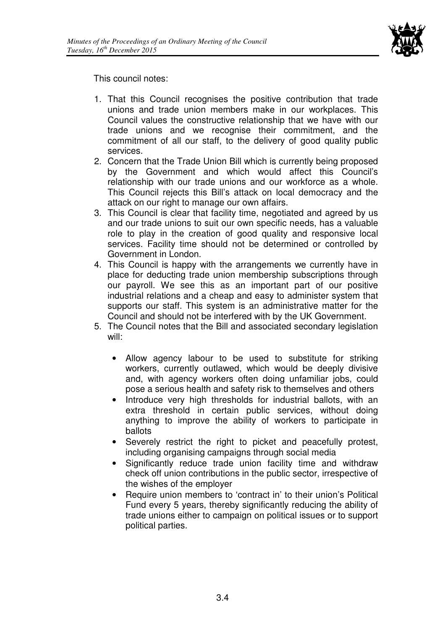

This council notes:

- 1. That this Council recognises the positive contribution that trade unions and trade union members make in our workplaces. This Council values the constructive relationship that we have with our trade unions and we recognise their commitment, and the commitment of all our staff, to the delivery of good quality public services.
- 2. Concern that the Trade Union Bill which is currently being proposed by the Government and which would affect this Council's relationship with our trade unions and our workforce as a whole. This Council rejects this Bill's attack on local democracy and the attack on our right to manage our own affairs.
- 3. This Council is clear that facility time, negotiated and agreed by us and our trade unions to suit our own specific needs, has a valuable role to play in the creation of good quality and responsive local services. Facility time should not be determined or controlled by Government in London.
- 4. This Council is happy with the arrangements we currently have in place for deducting trade union membership subscriptions through our payroll. We see this as an important part of our positive industrial relations and a cheap and easy to administer system that supports our staff. This system is an administrative matter for the Council and should not be interfered with by the UK Government.
- 5. The Council notes that the Bill and associated secondary legislation will:
	- Allow agency labour to be used to substitute for striking workers, currently outlawed, which would be deeply divisive and, with agency workers often doing unfamiliar jobs, could pose a serious health and safety risk to themselves and others
	- Introduce very high thresholds for industrial ballots, with an extra threshold in certain public services, without doing anything to improve the ability of workers to participate in ballots
	- Severely restrict the right to picket and peacefully protest, including organising campaigns through social media
	- Significantly reduce trade union facility time and withdraw check off union contributions in the public sector, irrespective of the wishes of the employer
	- Require union members to 'contract in' to their union's Political Fund every 5 years, thereby significantly reducing the ability of trade unions either to campaign on political issues or to support political parties.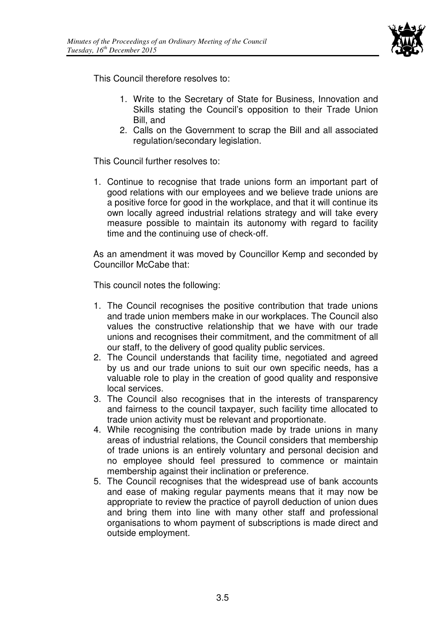

This Council therefore resolves to:

- 1. Write to the Secretary of State for Business, Innovation and Skills stating the Council's opposition to their Trade Union Bill, and
- 2. Calls on the Government to scrap the Bill and all associated regulation/secondary legislation.

This Council further resolves to:

1. Continue to recognise that trade unions form an important part of good relations with our employees and we believe trade unions are a positive force for good in the workplace, and that it will continue its own locally agreed industrial relations strategy and will take every measure possible to maintain its autonomy with regard to facility time and the continuing use of check-off.

As an amendment it was moved by Councillor Kemp and seconded by Councillor McCabe that:

This council notes the following:

- 1. The Council recognises the positive contribution that trade unions and trade union members make in our workplaces. The Council also values the constructive relationship that we have with our trade unions and recognises their commitment, and the commitment of all our staff, to the delivery of good quality public services.
- 2. The Council understands that facility time, negotiated and agreed by us and our trade unions to suit our own specific needs, has a valuable role to play in the creation of good quality and responsive local services.
- 3. The Council also recognises that in the interests of transparency and fairness to the council taxpayer, such facility time allocated to trade union activity must be relevant and proportionate.
- 4. While recognising the contribution made by trade unions in many areas of industrial relations, the Council considers that membership of trade unions is an entirely voluntary and personal decision and no employee should feel pressured to commence or maintain membership against their inclination or preference.
- 5. The Council recognises that the widespread use of bank accounts and ease of making regular payments means that it may now be appropriate to review the practice of payroll deduction of union dues and bring them into line with many other staff and professional organisations to whom payment of subscriptions is made direct and outside employment.